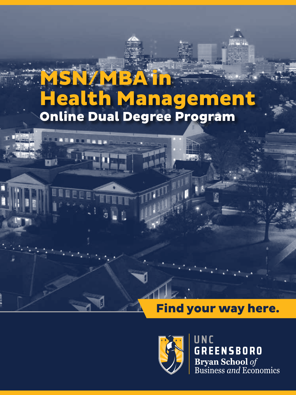# MSN/MBA in Health Management Online Dual Degree Program

### Find your way here.



UNC **GREENSBORO Bryan School** of<br>Business and Economics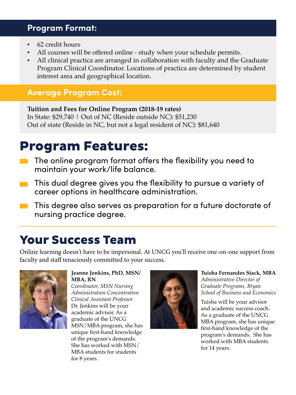#### **Program Format:**

- 62 credit hours
- All courses will be offered online study when your schedule permits.
- All clinical practica are arranged in collaboration with faculty and the Graduate Program Clinical Coordinator. Locations of practica are determined by student interest area and geographical location.

#### **Average Program Cost:**

**Tuition and Fees for Online Program (2018-19 rates)** In State: \$29,740 | Out of NC (Reside outside NC): \$51,230 Out of state (Reside in NC, but not a legal resident of NC): \$81,640

# Program Features:

- The online program format offers the flexibility you need to maintain your work/life balance.
- **This dual degree gives you the flexibility to pursue a variety of** career options in healthcare administration.
- **This degree also serves as preparation for a future doctorate of** nursing practice degree.

## Your Success Team

Online learning doesn't have to be impersonal. At UNCG you'll receive one-on-one support from faculty and staff tenaciously committed to your success.



**Jeanne Jenkins, PhD, MSN/ MBA, RN**

*Coordinator, MSN Nursing Administration Concentration Clinical Assistant Professor* Dr. Jenkins will be your academic advisor. As a graduate of the UNCG MSN/MBA program, she has unique first-hand knowledge of the program's demands. She has worked with MSN/ MBA students for students for 8 years.



**Tuisha Fernandes Stack, MBA** *Administrative Director of Graduate Programs, Bryan School of Business and Economics*

Tuisha will be your advisor and academic success coach. As a graduate of the UNCG MBA program, she has unique first-hand knowledge of the program's demands. She has worked with MBA students for 14 years.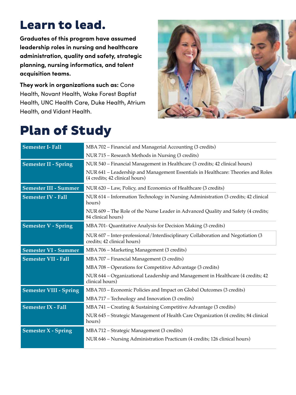# Learn to lead.

**Graduates of this program have assumed leadership roles in nursing and healthcare administration, quality and safety, strategic planning, nursing informatics, and talent acquisition teams.** 

**They work in organizations such as:** Cone Health, Novant Health, Wake Forest Baptist Health, UNC Health Care, Duke Health, Atrium Health, and Vidant Health.



# Plan of Study

| <b>Semester I- Fall</b>       | MBA 702 - Financial and Managerial Accounting (3 credits)                                                          |
|-------------------------------|--------------------------------------------------------------------------------------------------------------------|
|                               | NUR 715 - Research Methods in Nursing (3 credits)                                                                  |
| <b>Semester II - Spring</b>   | NUR 540 - Financial Management in Healthcare (3 credits; 42 clinical hours)                                        |
|                               | NUR 641 - Leadership and Management Essentials in Healthcare: Theories and Roles<br>(4 credits; 42 clinical hours) |
| <b>Semester III - Summer</b>  | NUR 620 - Law, Policy, and Economics of Healthcare (3 credits)                                                     |
| <b>Semester IV - Fall</b>     | NUR 614 - Information Technology in Nursing Administration (3 credits; 42 clinical<br>hours)                       |
|                               | NUR 609 - The Role of the Nurse Leader in Advanced Quality and Safety (4 credits;<br>84 clinical hours)            |
| <b>Semester V - Spring</b>    | MBA 701- Quantitative Analysis for Decision Making (3 credits)                                                     |
|                               | NUR 607 - Inter-professional/Interdisciplinary Collaboration and Negotiation (3<br>credits; 42 clinical hours)     |
| <b>Semester VI - Summer</b>   | MBA 706 - Marketing Management (3 credits)                                                                         |
| <b>Semester VII - Fall</b>    | MBA 707 - Financial Management (3 credits)                                                                         |
|                               | MBA 708 - Operations for Competitive Advantage (3 credits)                                                         |
|                               | NUR 644 - Organizational Leadership and Management in Healthcare (4 credits; 42<br>clinical hours)                 |
| <b>Semester VIII - Spring</b> | MBA 703 - Economic Policies and Impact on Global Outcomes (3 credits)                                              |
|                               | MBA 717 - Technology and Innovation (3 credits)                                                                    |
| <b>Semester IX - Fall</b>     | MBA 741 - Creating & Sustaining Competitive Advantage (3 credits)                                                  |
|                               | NUR 645 - Strategic Management of Health Care Organization (4 credits; 84 clinical<br>hours)                       |
| <b>Semester X - Spring</b>    | MBA 712 - Strategic Management (3 credits)                                                                         |
|                               | NUR 646 - Nursing Administration Practicum (4 credits; 126 clinical hours)                                         |